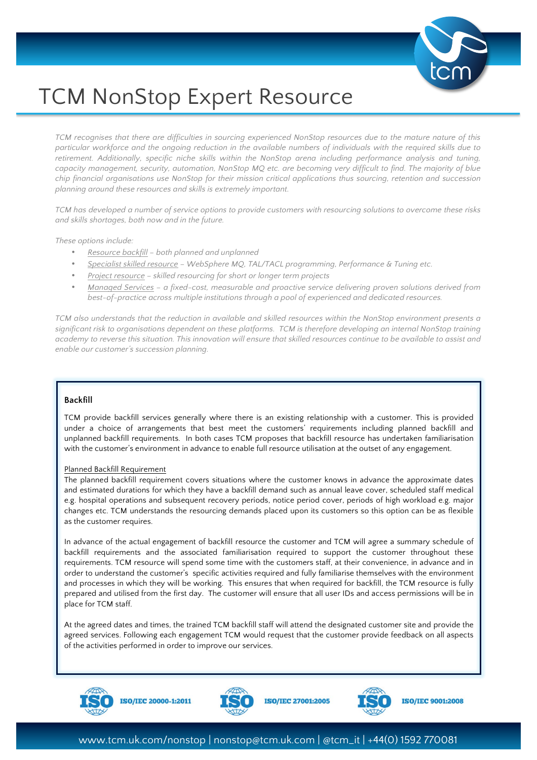

# TCM NonStop Expert Resource

*TCM recognises that there are difficulties in sourcing experienced NonStop resources due to the mature nature of this particular workforce and the ongoing reduction in the available numbers of individuals with the required skills due to*  retirement. Additionally, specific niche skills within the NonStop arena including performance analysis and tuning, *capacity management, security, automation, NonStop MQ etc. are becoming very difficult to find. The majority of blue chip financial organisations use NonStop for their mission critical applications thus sourcing, retention and succession planning around these resources and skills is extremely important.*

*TCM has developed a number of service options to provide customers with resourcing solutions to overcome these risks and skills shortages, both now and in the future.*

*These options include:*

- *Resource backfill – both planned and unplanned*
- *Specialist skilled resource – WebSphere MQ, TAL/TACL programming, Performance & Tuning etc.*
- *Project resource – skilled resourcing for short or longer term projects*
- *Managed Services – a fixed-cost, measurable and proactive service delivering proven solutions derived from best-of-practice across multiple institutions through a pool of experienced and dedicated resources.*

*TCM also understands that the reduction in available and skilled resources within the NonStop environment presents a significant risk to organisations dependent on these platforms. TCM is therefore developing an internal NonStop training academy to reverse this situation. This innovation will ensure that skilled resources continue to be available to assist and enable our customer's succession planning.*

## **Backfill**

TCM provide backfill services generally where there is an existing relationship with a customer. This is provided under a choice of arrangements that best meet the customers' requirements including planned backfill and unplanned backfill requirements. In both cases TCM proposes that backfill resource has undertaken familiarisation with the customer's environment in advance to enable full resource utilisation at the outset of any engagement.

#### Planned Backfill Requirement

The planned backfill requirement covers situations where the customer knows in advance the approximate dates and estimated durations for which they have a backfill demand such as annual leave cover, scheduled staff medical e.g. hospital operations and subsequent recovery periods, notice period cover, periods of high workload e.g. major changes etc. TCM understands the resourcing demands placed upon its customers so this option can be as flexible as the customer requires.

In advance of the actual engagement of backfill resource the customer and TCM will agree a summary schedule of backfill requirements and the associated familiarisation required to support the customer throughout these requirements. TCM resource will spend some time with the customers staff, at their convenience, in advance and in order to understand the customer's specific activities required and fully familiarise themselves with the environment and processes in which they will be working. This ensures that when required for backfill, the TCM resource is fully prepared and utilised from the first day. The customer will ensure that all user IDs and access permissions will be in place for TCM staff.

At the agreed dates and times, the trained TCM backfill staff will attend the designated customer site and provide the agreed services. Following each engagement TCM would request that the customer provide feedback on all aspects of the activities performed in order to improve our services.



**ISO/IEC 20000-1:2011** 



**ISO/IEC 27001:2005** 



**ISO/IEC 9001:2008**